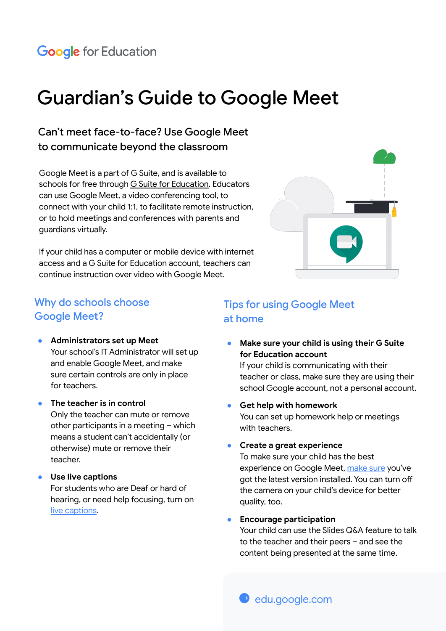# Guardian's Guide to Google Meet

## Can't meet face-to-face? Use Google Meet to communicate beyond the classroom

Google Meet is a part of G Suite, and is available to schools for free through [G Suite for Education](https://edu.google.com/products/gsuite-for-education/?modal_active=none). Educators can use Google Meet, a video conferencing tool, to connect with your child 1:1, to facilitate remote instruction, or to hold meetings and conferences with parents and guardians virtually.

If your child has a computer or mobile device with internet access and a G Suite for Education account, teachers can continue instruction over video with Google Meet.



### Why do schools choose Google Meet?

- **Administrators set up Meet** Your school's IT Administrator will set up and enable Google Meet, and make sure certain controls are only in place for teachers.
- **The teacher is in control** Only the teacher can mute or remove other participants in a meeting – which means a student can't accidentally (or otherwise) mute or remove their teacher.

#### ● **Use live captions**

For students who are Deaf or hard of hearing, or need help focusing, turn on [live captions](https://support.google.com/meet/answer/9300310?co=GENIE.Platform%3DDesktop&hl=en).

#### Tips for using Google Meet at home

**Make sure your child is using their G Suite for Education account** 

If your child is communicating with their teacher or class, make sure they are using their school Google account, not a personal account.

- **Get help with homework** You can set up homework help or meetings with teachers.
- **Create a great experience**

To make sure your child has the best experience on Google Meet, [make sure](https://support.google.com/a/users/answer/9300131?hl=en) you've got the latest version installed. You can turn off the camera on your child's device for better quality, too.

#### ● **Encourage participation**

Your child can use the Slides Q&A feature to talk to the teacher and their peers – and see the content being presented at the same time.